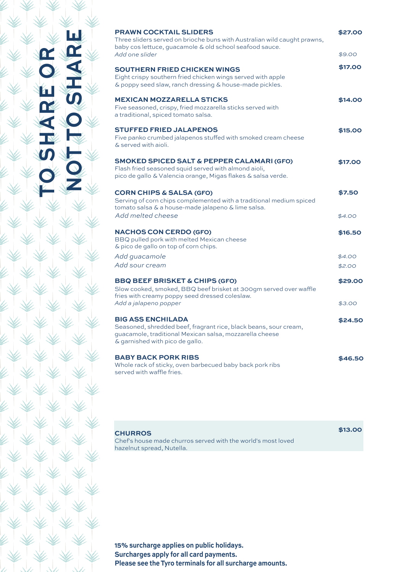| <b>PRAWN COCKTAIL SLIDERS</b><br>Three sliders served on brioche buns with Australian wild caught prawns,<br>baby cos lettuce, guacamole & old school seafood sauce.                       | \$27.00 |
|--------------------------------------------------------------------------------------------------------------------------------------------------------------------------------------------|---------|
| Add one slider                                                                                                                                                                             | \$9.00  |
| <b>SOUTHERN FRIED CHICKEN WINGS</b><br>Eight crispy southern fried chicken wings served with apple<br>& poppy seed slaw, ranch dressing & house-made pickles.                              | \$17.00 |
| <b>MEXICAN MOZZARELLA STICKS</b><br>Five seasoned, crispy, fried mozzarella sticks served with<br>a traditional, spiced tomato salsa.                                                      | \$14.00 |
| <b>STUFFED FRIED JALAPENOS</b><br>Five panko crumbed jalapenos stuffed with smoked cream cheese<br>& served with aioli.                                                                    | \$15.00 |
| <b>SMOKED SPICED SALT &amp; PEPPER CALAMARI (GFO)</b><br>Flash fried seasoned squid served with almond aioli,<br>pico de gallo & Valencia orange, Migas flakes & salsa verde.              | \$17.00 |
| <b>CORN CHIPS &amp; SALSA (GFO)</b><br>Serving of corn chips complemented with a traditional medium spiced<br>tomato salsa & a house-made jalapeno & lime salsa.                           | \$7.50  |
| Add melted cheese                                                                                                                                                                          | \$4.00  |
| <b>NACHOS CON CERDO (GFO)</b><br>BBQ pulled pork with melted Mexican cheese<br>& pico de gallo on top of corn chips.                                                                       | \$16.50 |
| Add guacamole                                                                                                                                                                              | \$4.00  |
| Add sour cream                                                                                                                                                                             | \$2.00  |
| <b>BBQ BEEF BRISKET &amp; CHIPS (GFO)</b><br>Slow cooked, smoked, BBQ beef brisket at 300qm served over waffle<br>fries with creamy poppy seed dressed coleslaw.                           | \$29.00 |
| Add a jalapeno popper                                                                                                                                                                      | \$3.00  |
| <b>BIG ASS ENCHILADA</b><br>Seasoned, shredded beef, fragrant rice, black beans, sour cream,<br>guacamole, traditional Mexican salsa, mozzarella cheese<br>& garnished with pico de gallo. | \$24.50 |
| <b>BABY BACK PORK RIBS</b><br>Whole rack of sticky, oven barbecued baby back pork ribs<br>served with waffle fries.                                                                        | \$46.50 |

**837,%6)36**

NOT TO SHARE

 $\alpha$ 

五の

| <b>CHURROS</b>                                               | \$13.00 |
|--------------------------------------------------------------|---------|
| Chef's house made churros served with the world's most loved |         |
| hazelnut spread, Nutella.                                    |         |
|                                                              |         |

15% surcharge applies on public holidays. **Surcharges apply for all card payments. Please see the Tyro terminals for all surcharge amounts.**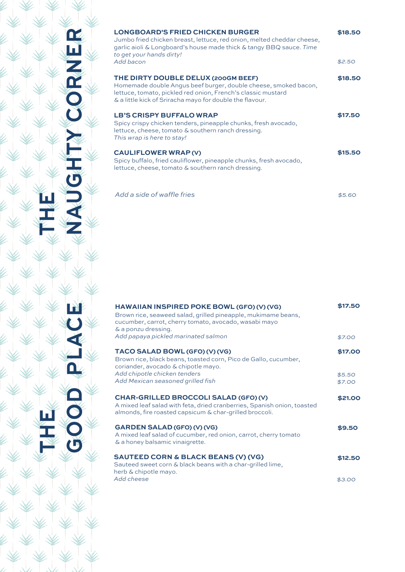|               | <b>LONGBOARD'S FRIED CHICKEN BURGER</b><br>Jumbo fried chicken breast, lettuce, red onion, melted cheddar cheese,<br>garlic aioli & Longboard's house made thick & tangy BBQ sauce. Time<br>to get your hands dirty!<br>Add bacon  | \$18.50<br>\$2.50 |
|---------------|------------------------------------------------------------------------------------------------------------------------------------------------------------------------------------------------------------------------------------|-------------------|
| 四乙烯           | THE DIRTY DOUBLE DELUX (200GM BEEF)<br>Homemade double Angus beef burger, double cheese, smoked bacon,<br>lettuce, tomato, pickled red onion, French's classic mustard<br>& a little kick of Sriracha mayo for double the flavour. | \$18.50           |
|               | <b>LB'S CRISPY BUFFALO WRAP</b><br>Spicy crispy chicken tenders, pineapple chunks, fresh avocado,<br>lettuce, cheese, tomato & southern ranch dressing.<br>This wrap is here to stay!                                              | \$17.50           |
|               | <b>CAULIFLOWER WRAP (V)</b><br>Spicy buffalo, fried cauliflower, pineapple chunks, fresh avocado,<br>lettuce, cheese, tomato & southern ranch dressing.                                                                            | \$15.50           |
| <b>HIPONY</b> | Add a side of waffle fries                                                                                                                                                                                                         | \$5.60            |
|               |                                                                                                                                                                                                                                    |                   |

**8,)**

**6)**<br>王

**+33(40%')**

GOOD PI

E)

| HAWAIIAN INSPIRED POKE BOWL (GFO) (V) (VG)<br>Brown rice, seaweed salad, grilled pineapple, mukimame beans,<br>cucumber, carrot, cherry tomato, avocado, wasabi mayo<br>& a ponzu dressing. | \$17.50          |
|---------------------------------------------------------------------------------------------------------------------------------------------------------------------------------------------|------------------|
| Add papaya pickled marinated salmon                                                                                                                                                         | \$7.00           |
| TACO SALAD BOWL (GFO) (V) (VG)<br>Brown rice, black beans, toasted corn, Pico de Gallo, cucumber,<br>coriander, avocado & chipotle mayo.                                                    | \$17.00          |
| Add chipotle chicken tenders<br>Add Mexican seasoned grilled fish                                                                                                                           | \$5.50<br>\$7.00 |
| CHAR-GRILLED BROCCOLI SALAD (GFO) (V)<br>A mixed leaf salad with feta, dried cranberries, Spanish onion, toasted<br>almonds, fire roasted capsicum & char-grilled broccoli.                 | \$21.00          |
| GARDEN SALAD (GFO) (V) (VG)<br>A mixed leaf salad of cucumber, red onion, carrot, cherry tomato<br>& a honey balsamic vinaigrette.                                                          | \$9.50           |
| <b>SAUTEED CORN &amp; BLACK BEANS (V) (VG)</b><br>Sauteed sweet corn & black beans with a char-grilled lime,                                                                                | \$12.50          |
| herb & chipotle mayo.<br>Add cheese                                                                                                                                                         | \$3.00           |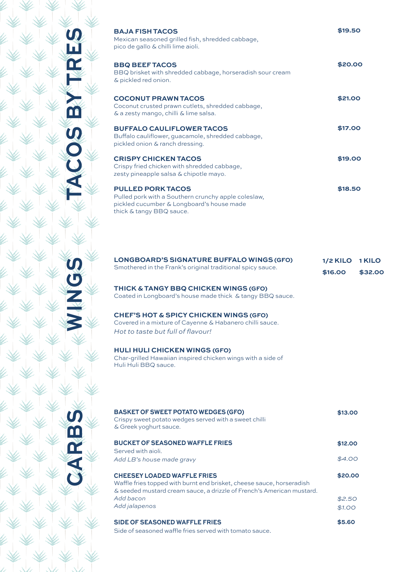| <b>BAJA FISH TACOS</b><br>Mexican seasoned grilled fish, shredded cabbage,<br>pico de gallo & chilli lime aioli.                                         | \$19.50 |
|----------------------------------------------------------------------------------------------------------------------------------------------------------|---------|
| <b>BBQ BEEF TACOS</b><br>BBQ brisket with shredded cabbage, horseradish sour cream<br>& pickled red onion.                                               | \$20.00 |
| <b>COCONUT PRAWN TACOS</b><br>Coconut crusted prawn cutlets, shredded cabbage,<br>& a zesty mango, chilli & lime salsa.                                  | \$21.00 |
| <b>BUFFALO CAULIFLOWER TACOS</b><br>Buffalo cauliflower, guacamole, shredded cabbage,<br>pickled onion & ranch dressing.                                 | \$17.00 |
| <b>CRISPY CHICKEN TACOS</b><br>Crispy fried chicken with shredded cabbage,<br>zesty pineapple salsa & chipotle mayo.                                     | \$19.00 |
| <b>PULLED PORK TACOS</b><br>Pulled pork with a Southern crunchy apple coleslaw,<br>pickled cucumber & Longboard's house made<br>thick & tangy BBQ sauce. | \$18.50 |
|                                                                                                                                                          |         |

| LONGBOARD'S SIGNATURE BUFFALO WINGS (GFO)                  | 1/2 KILO 1 KILO |         |
|------------------------------------------------------------|-----------------|---------|
| Smothered in the Frank's original traditional spicy sauce. | \$16.00         | \$32.00 |

**THICK &TANGY BBQ CHICKEN WINGS (GFO)** Coated in Longboard's house made thick & tangy BBQ sauce.

**CHEF'S HOT & SPICY CHICKEN WINGS (GFO)** Covered in a mixture of Cayenne & Habanero chilli sauce. *Hot to taste but full of flavour!* 

**HULI HULI CHICKEN WINGS (GFO)**

**TACOS BY TRES**

5<br>0<br>0

m

**WINGS**

**CARBS**

Char-grilled Hawaiian inspired chicken wings with a side of Huli Huli BBQ sauce.

| <b>BASKET OF SWEET POTATO WEDGES (GFO)</b><br>Crispy sweet potato wedges served with a sweet chilli<br>& Greek yoghurt sauce.                                                        | \$13.00 |
|--------------------------------------------------------------------------------------------------------------------------------------------------------------------------------------|---------|
| <b>BUCKET OF SEASONED WAFFLE FRIES</b>                                                                                                                                               | \$12.00 |
| Served with aioli.                                                                                                                                                                   |         |
| Add LB's house made gravy                                                                                                                                                            | \$4.00  |
| <b>CHEESEY LOADED WAFFLE FRIES</b><br>Waffle fries topped with burnt end brisket, cheese sauce, horseradish<br>& seeded mustard cream sauce, a drizzle of French's American mustard. | \$20.00 |
| Add bacon                                                                                                                                                                            | \$2.50  |
| Add jalapenos                                                                                                                                                                        | \$1.00  |
| <b>SIDE OF SEASONED WAFFLE FRIES</b><br>Side of seasoned waffle fries served with tomato sauce.                                                                                      | \$5.60  |
|                                                                                                                                                                                      |         |